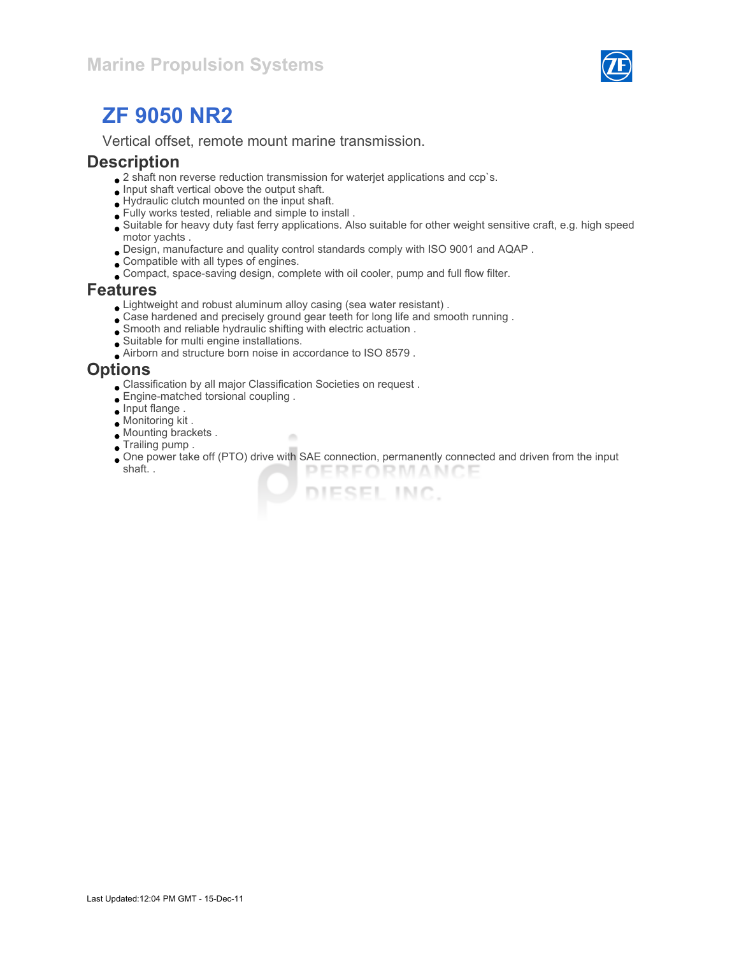

# ZF 9050 NR2

Vertical offset, remote mount marine transmission.

#### **Description**

- $\bullet$  2 shaft non reverse reduction transmission for waterjet applications and ccp`s.
- $\bullet$  Input shaft vertical obove the output shaft.
- Hydraulic clutch mounted on the input shaft.
- Fully works tested, reliable and simple to install .
- Suitable for heavy duty fast ferry applications. Also suitable for other weight sensitive craft, e.g. high speed motor yachts .
- Design, manufacture and quality control standards comply with ISO 9001 and AQAP .
- Compatible with all types of engines.
- Compact, space-saving design, complete with oil cooler, pump and full flow filter.

#### Features

Lightweight and robust aluminum alloy casing (sea water resistant) .

×

- Case hardened and precisely ground gear teeth for long life and smooth running .
- Smooth and reliable hydraulic shifting with electric actuation .
- Suitable for multi engine installations.
- Airborn and structure born noise in accordance to ISO 8579 .

#### **Options**

- Classification by all major Classification Societies on request .
- Engine-matched torsional coupling .
- $\bullet$  Input flange.
- Monitoring kit .
- Mounting brackets .
- **Trailing pump.**
- One power take off (PTO) drive with SAE connection, permanently connected and driven from the input shaft. . PERFORMANCE

DIESEL INC.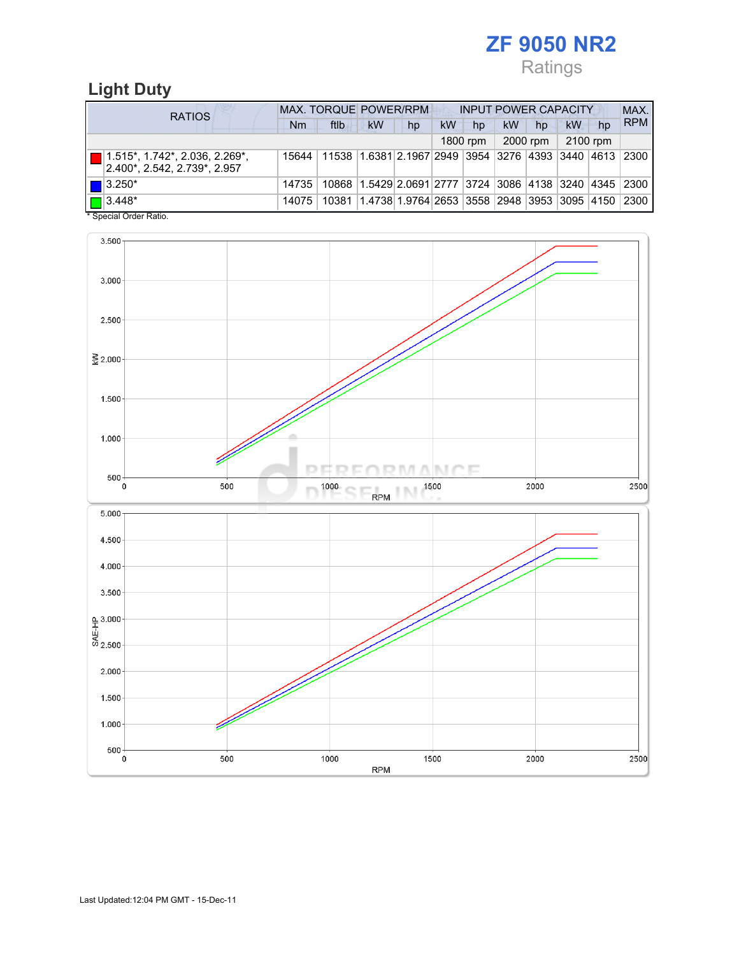# ZF 9050 NR2 Ratings

## Light Duty

| <b>RATIOS</b>                                                                               | MAX. TORQUE POWER/RPM<br><b>INPUT POWER CAPACITY</b> |                                                        |                                                        |    |    |          |           |          |          |    | MAX.       |  |
|---------------------------------------------------------------------------------------------|------------------------------------------------------|--------------------------------------------------------|--------------------------------------------------------|----|----|----------|-----------|----------|----------|----|------------|--|
|                                                                                             | Nm                                                   | ftlb                                                   | <b>kW</b>                                              | hp | kW | hp       | <b>kW</b> | hp       | kW       | hp | <b>RPM</b> |  |
|                                                                                             |                                                      |                                                        |                                                        |    |    | 1800 rpm |           | 2000 rpm | 2100 rpm |    |            |  |
| $\boxed{ }$ 1.515*, 1.742*, 2.036, 2.269*,<br>$ 2.400^{\star}, 2.542, 2.739^{\star}, 2.957$ | 15644                                                | 11538 1.6381 2.1967 2949 3954 3276 4393 3440 4613 2300 |                                                        |    |    |          |           |          |          |    |            |  |
| $\blacksquare$ 3.250*                                                                       | 14735                                                |                                                        | 10868 1.5429 2.0691 2777 3724 3086 4138 3240 4345 2300 |    |    |          |           |          |          |    |            |  |
| $\boxed{\blacksquare}$ 3.448*                                                               | 14075                                                | 10381                                                  | 1.4738 1.9764 2653 3558 2948 3953 3095 4150            |    |    |          |           |          |          |    | 2300       |  |

\* Special Order Ratio.

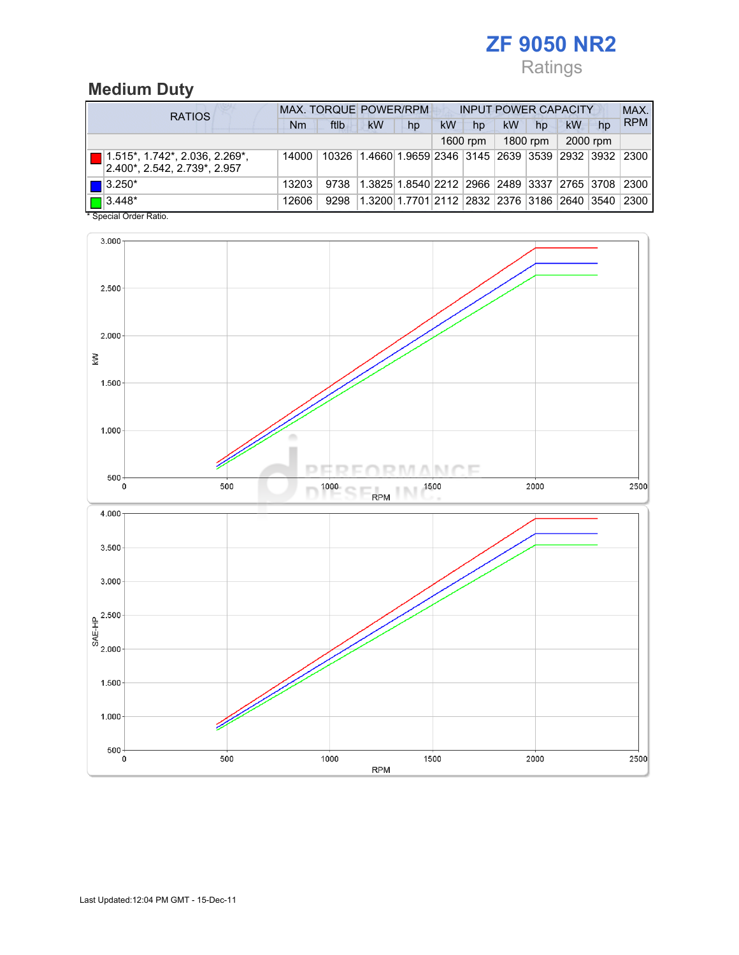# ZF 9050 NR2 Ratings

# Medium Duty

| <b>RATIOS</b>                                                     | <b>MAX. TORQUE POWER/RPM</b><br><b>INPUT POWER CAPACITY</b> |      |                                                         |                                             |    |          |           |          |          |    | MAX.       |
|-------------------------------------------------------------------|-------------------------------------------------------------|------|---------------------------------------------------------|---------------------------------------------|----|----------|-----------|----------|----------|----|------------|
|                                                                   | Nm                                                          | ftlb | <b>kW</b>                                               | hp                                          | kW | hp       | <b>kW</b> | hp       | kW       | hp | <b>RPM</b> |
|                                                                   |                                                             |      |                                                         |                                             |    | 1600 rpm |           | 1800 rpm | 2000 rpm |    |            |
| $1.515$ *, 1.742*, 2.036, 2.269*,<br>2.400*. 2.542. 2.739*. 2.957 | 14000                                                       |      | 10326 1.4660 1.9659 2346 3145 2639 3539 2932 3932 2300  |                                             |    |          |           |          |          |    |            |
| $\blacksquare$ 3.250*                                             | 13203                                                       | 9738 | 1.3825 1.8540 2212  2966  2489  3337  2765  3708   2300 |                                             |    |          |           |          |          |    |            |
| $\sqrt{2}$ 3.448*<br>$*$ Consider Order Detter                    | 12606                                                       | 9298 |                                                         | 1.3200 1.7701 2112 2832 2376 3186 2640 3540 |    |          |           |          |          |    | 2300       |

Special Order Ratio.

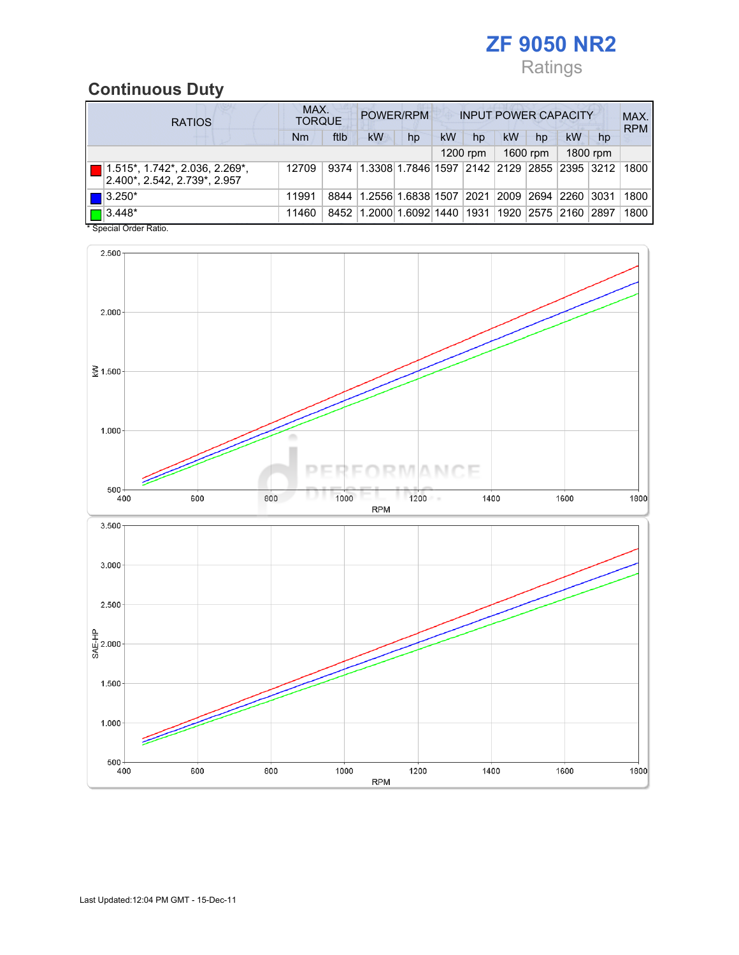# ZF 9050 NR2 Ratings

## Continuous Duty

| <b>RATIOS</b>                                                              | MAX.<br>POWER/RPM<br><b>INPUT POWER CAPACITY</b><br><b>TORQUE</b> |      |                                                  |    |    |                |    |                    |    |                |            |
|----------------------------------------------------------------------------|-------------------------------------------------------------------|------|--------------------------------------------------|----|----|----------------|----|--------------------|----|----------------|------------|
|                                                                            | Nm                                                                | ftlb | kW                                               | hp | kW | hp             | kW | hp                 | kW | hp             | <b>RPM</b> |
|                                                                            |                                                                   |      |                                                  |    |    | $1200$ rpm     |    | 1600 rpm           |    | 1800 rpm       |            |
| $\boxed{ }$ 1.515*, 1.742*, 2.036, 2.269*,<br>2.400*. 2.542. 2.739*. 2.957 | 12709                                                             |      | 9374 1.3308 1.7846 1597 2142 2129 2855 2395 3212 |    |    |                |    |                    |    |                | 1800       |
| $\blacksquare$ 3.250*                                                      | 11991                                                             | 8844 | 1.2556 1.6838 1507                               |    |    | $ 2021\rangle$ |    | 2009   2694   2260 |    | $ 3031\rangle$ | 1800       |
| $\boxed{\Box}$ 3.448*                                                      | 11460                                                             | 8452 | 1.2000 1.6092 1440                               |    |    | 1931           |    | 1920   2575   2160 |    | 2897           | 1800       |

\* Special Order Ratio.

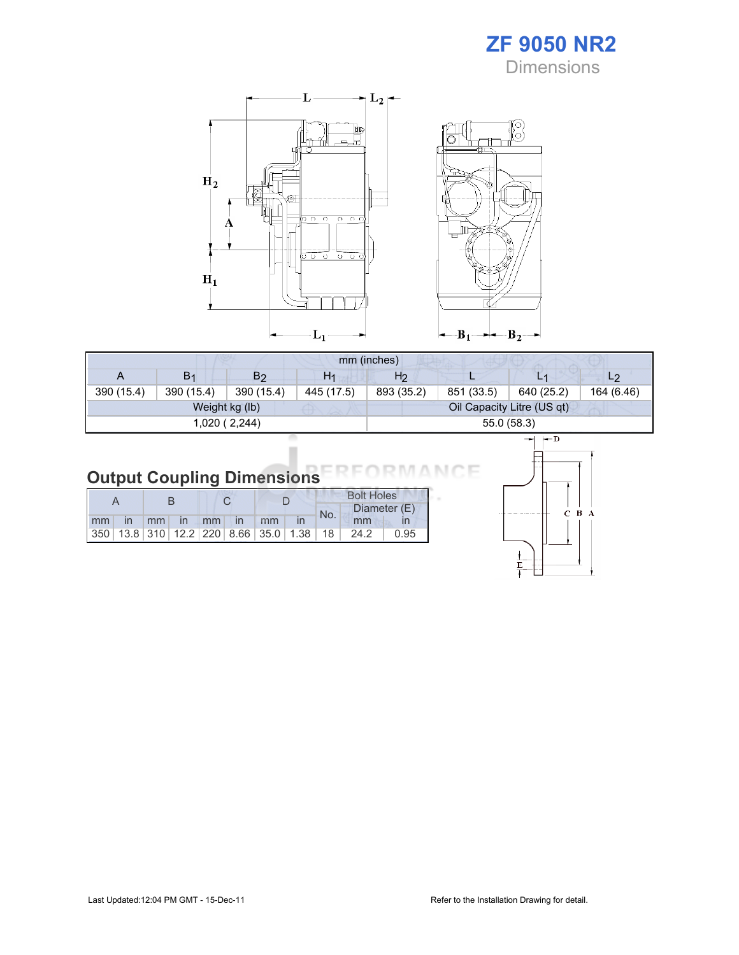

Ò



|            | mm (inches) |                |                |                |            |                            |                |  |  |  |
|------------|-------------|----------------|----------------|----------------|------------|----------------------------|----------------|--|--|--|
| A          | B1          | B <sub>2</sub> | H <sub>1</sub> | H <sub>2</sub> |            |                            | L <sub>2</sub> |  |  |  |
| 390 (15.4) | 390 (15.4)  | 390 (15.4)     | 445 (17.5)     | 893 (35.2)     | 851 (33.5) | 640 (25.2)                 | 164 (6.46)     |  |  |  |
|            |             | Weight kg (lb) |                |                |            | Oil Capacity Litre (US qt) |                |  |  |  |
|            |             | 1,020 (2,244)  |                |                |            | 55.0 (58.3)                |                |  |  |  |

#### Output Coupling Dimensions N.

|       |  |  |                |  |  |     | <b>Bolt Holes</b>                               |              |  |
|-------|--|--|----------------|--|--|-----|-------------------------------------------------|--------------|--|
|       |  |  |                |  |  | No. |                                                 | Diameter (E) |  |
| mm in |  |  | mm in mm in mm |  |  |     | mm                                              |              |  |
|       |  |  |                |  |  |     | $ 350 13.8 310 12.2 220 8.66 35.0 1.38 18 24.2$ | 0.95         |  |



Е